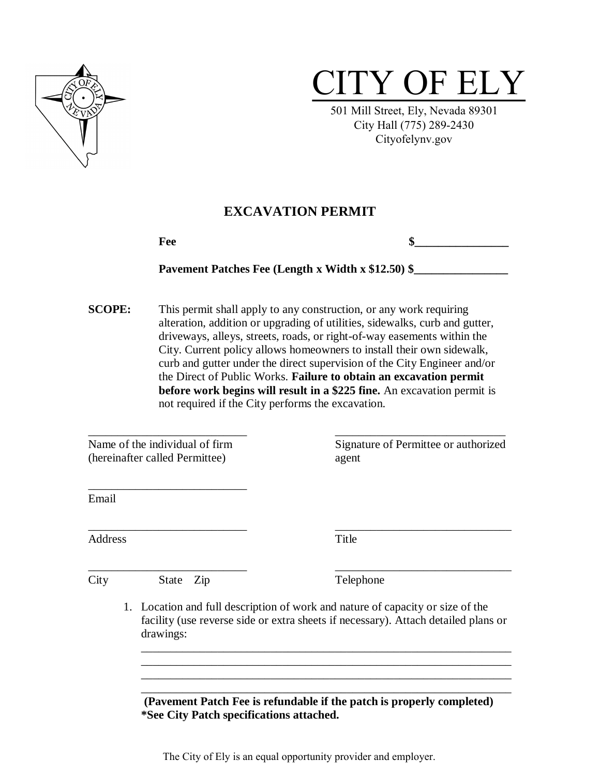

# CITY OF ELY

501 Mill Street, Ely, Nevada 89301 City Hall (775) 289-2430 Cityofelynv.gov

### **EXCAVATION PERMIT**

| -<br>Fee | ш |
|----------|---|
|          |   |

#### Pavement Patches Fee (Length x Width x \$12.50) \$

**SCOPE:** This permit shall apply to any construction, or any work requiring alteration, addition or upgrading of utilities, sidewalks, curb and gutter, driveways, alleys, streets, roads, or right-of-way easements within the City. Current policy allows homeowners to install their own sidewalk, curb and gutter under the direct supervision of the City Engineer and/or the Direct of Public Works. **Failure to obtain an excavation permit before work begins will result in a \$225 fine.** An excavation permit is not required if the City performs the excavation.

\_\_\_\_\_\_\_\_\_\_\_\_\_\_\_\_\_\_\_\_\_\_\_\_\_\_\_ \_\_\_\_\_\_\_\_\_\_\_\_\_\_\_\_\_\_\_\_\_\_\_\_\_\_\_\_\_

(hereinafter called Permittee) agent

\_\_\_\_\_\_\_\_\_\_\_\_\_\_\_\_\_\_\_\_\_\_\_\_\_\_\_

Name of the individual of firm Signature of Permittee or authorized

Email

Address Title

\_\_\_\_\_\_\_\_\_\_\_\_\_\_\_\_\_\_\_\_\_\_\_\_\_\_\_ \_\_\_\_\_\_\_\_\_\_\_\_\_\_\_\_\_\_\_\_\_\_\_\_\_\_\_\_\_\_

City State Zip Telephone

\_\_\_\_\_\_\_\_\_\_\_\_\_\_\_\_\_\_\_\_\_\_\_\_\_\_\_ \_\_\_\_\_\_\_\_\_\_\_\_\_\_\_\_\_\_\_\_\_\_\_\_\_\_\_\_\_\_

1. Location and full description of work and nature of capacity or size of the facility (use reverse side or extra sheets if necessary). Attach detailed plans or drawings:

\_\_\_\_\_\_\_\_\_\_\_\_\_\_\_\_\_\_\_\_\_\_\_\_\_\_\_\_\_\_\_\_\_\_\_\_\_\_\_\_\_\_\_\_\_\_\_\_\_\_\_\_\_\_\_\_\_\_\_\_\_\_\_ \_\_\_\_\_\_\_\_\_\_\_\_\_\_\_\_\_\_\_\_\_\_\_\_\_\_\_\_\_\_\_\_\_\_\_\_\_\_\_\_\_\_\_\_\_\_\_\_\_\_\_\_\_\_\_\_\_\_\_\_\_\_\_ \_\_\_\_\_\_\_\_\_\_\_\_\_\_\_\_\_\_\_\_\_\_\_\_\_\_\_\_\_\_\_\_\_\_\_\_\_\_\_\_\_\_\_\_\_\_\_\_\_\_\_\_\_\_\_\_\_\_\_\_\_\_\_ \_\_\_\_\_\_\_\_\_\_\_\_\_\_\_\_\_\_\_\_\_\_\_\_\_\_\_\_\_\_\_\_\_\_\_\_\_\_\_\_\_\_\_\_\_\_\_\_\_\_\_\_\_\_\_\_\_\_\_\_\_\_\_

 **(Pavement Patch Fee is refundable if the patch is properly completed) \*See City Patch specifications attached.**

The City of Ely is an equal opportunity provider and employer.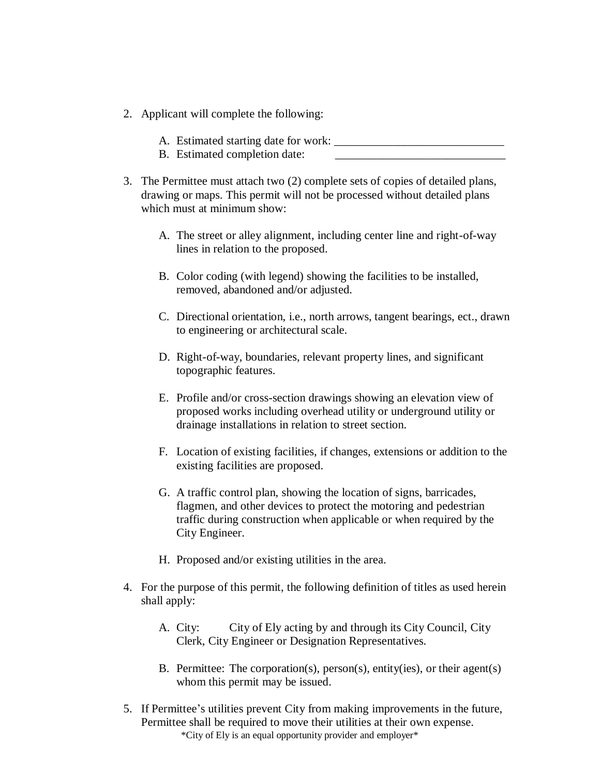- 2. Applicant will complete the following:
	- A. Estimated starting date for work:
	- B. Estimated completion date:
- 3. The Permittee must attach two (2) complete sets of copies of detailed plans, drawing or maps. This permit will not be processed without detailed plans which must at minimum show:
	- A. The street or alley alignment, including center line and right-of-way lines in relation to the proposed.
	- B. Color coding (with legend) showing the facilities to be installed, removed, abandoned and/or adjusted.
	- C. Directional orientation, i.e., north arrows, tangent bearings, ect., drawn to engineering or architectural scale.
	- D. Right-of-way, boundaries, relevant property lines, and significant topographic features.
	- E. Profile and/or cross-section drawings showing an elevation view of proposed works including overhead utility or underground utility or drainage installations in relation to street section.
	- F. Location of existing facilities, if changes, extensions or addition to the existing facilities are proposed.
	- G. A traffic control plan, showing the location of signs, barricades, flagmen, and other devices to protect the motoring and pedestrian traffic during construction when applicable or when required by the City Engineer.
	- H. Proposed and/or existing utilities in the area.
- 4. For the purpose of this permit, the following definition of titles as used herein shall apply:
	- A. City: City of Ely acting by and through its City Council, City Clerk, City Engineer or Designation Representatives.
	- B. Permittee: The corporation(s), person(s), entity(ies), or their agent(s) whom this permit may be issued.
- \*City of Ely is an equal opportunity provider and employer\* 5. If Permittee's utilities prevent City from making improvements in the future, Permittee shall be required to move their utilities at their own expense.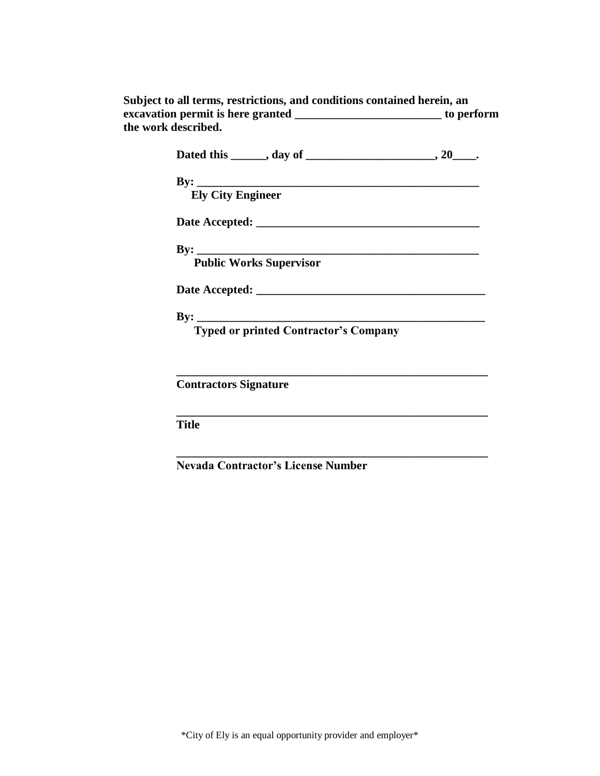| Subject to all terms, restrictions, and conditions contained herein, an |            |  |  |
|-------------------------------------------------------------------------|------------|--|--|
| excavation permit is here granted                                       | to perform |  |  |
| the work described.                                                     |            |  |  |

| <b>Ely City Engineer</b>                     |  |
|----------------------------------------------|--|
|                                              |  |
|                                              |  |
| By: Public Works Supervisor                  |  |
|                                              |  |
|                                              |  |
| <b>Typed or printed Contractor's Company</b> |  |
|                                              |  |
| <b>Contractors Signature</b>                 |  |
| <b>Title</b>                                 |  |
|                                              |  |

**Nevada Contractor's License Number**